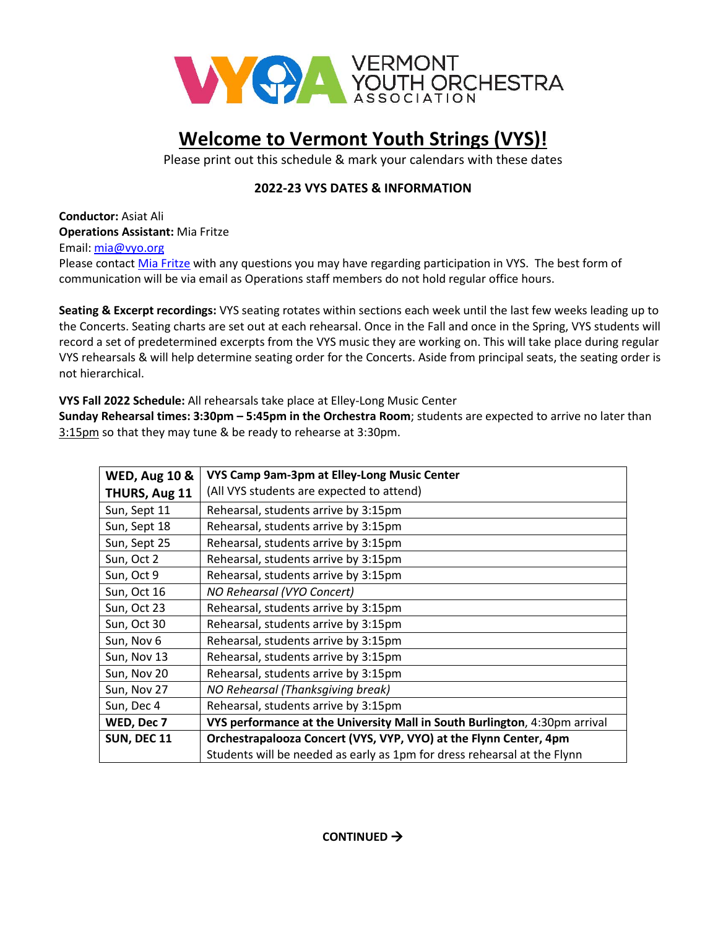

## **Welcome to Vermont Youth Strings (VYS)!**

Please print out this schedule & mark your calendars with these dates

## **2022-23 VYS DATES & INFORMATION**

**Conductor:** Asiat Ali **Operations Assistant:** Mia Fritze

Email: [mia@vyo.org](mailto:mia@vyo.org)

Please contac[t Mia Fritze](mailto:mia@vyo.org) with any questions you may have regarding participation in VYS. The best form of communication will be via email as Operations staff members do not hold regular office hours.

**Seating & Excerpt recordings:** VYS seating rotates within sections each week until the last few weeks leading up to the Concerts. Seating charts are set out at each rehearsal. Once in the Fall and once in the Spring, VYS students will record a set of predetermined excerpts from the VYS music they are working on. This will take place during regular VYS rehearsals & will help determine seating order for the Concerts. Aside from principal seats, the seating order is not hierarchical.

**VYS Fall 2022 Schedule:** All rehearsals take place at Elley-Long Music Center

**Sunday Rehearsal times: 3:30pm – 5:45pm in the Orchestra Room**; students are expected to arrive no later than 3:15pm so that they may tune & be ready to rehearse at 3:30pm.

| <b>WED, Aug 10 &amp;</b> | VYS Camp 9am-3pm at Elley-Long Music Center                                |
|--------------------------|----------------------------------------------------------------------------|
| THURS, Aug 11            | (All VYS students are expected to attend)                                  |
| Sun, Sept 11             | Rehearsal, students arrive by 3:15pm                                       |
| Sun, Sept 18             | Rehearsal, students arrive by 3:15pm                                       |
| Sun, Sept 25             | Rehearsal, students arrive by 3:15pm                                       |
| Sun, Oct 2               | Rehearsal, students arrive by 3:15pm                                       |
| Sun, Oct 9               | Rehearsal, students arrive by 3:15pm                                       |
| Sun, Oct 16              | NO Rehearsal (VYO Concert)                                                 |
| Sun, Oct 23              | Rehearsal, students arrive by 3:15pm                                       |
| Sun, Oct 30              | Rehearsal, students arrive by 3:15pm                                       |
| Sun, Nov 6               | Rehearsal, students arrive by 3:15pm                                       |
| Sun, Nov 13              | Rehearsal, students arrive by 3:15pm                                       |
| Sun, Nov 20              | Rehearsal, students arrive by 3:15pm                                       |
| Sun, Nov 27              | NO Rehearsal (Thanksgiving break)                                          |
| Sun, Dec 4               | Rehearsal, students arrive by 3:15pm                                       |
| WED, Dec 7               | VYS performance at the University Mall in South Burlington, 4:30pm arrival |
| <b>SUN, DEC 11</b>       | Orchestrapalooza Concert (VYS, VYP, VYO) at the Flynn Center, 4pm          |
|                          | Students will be needed as early as 1pm for dress rehearsal at the Flynn   |